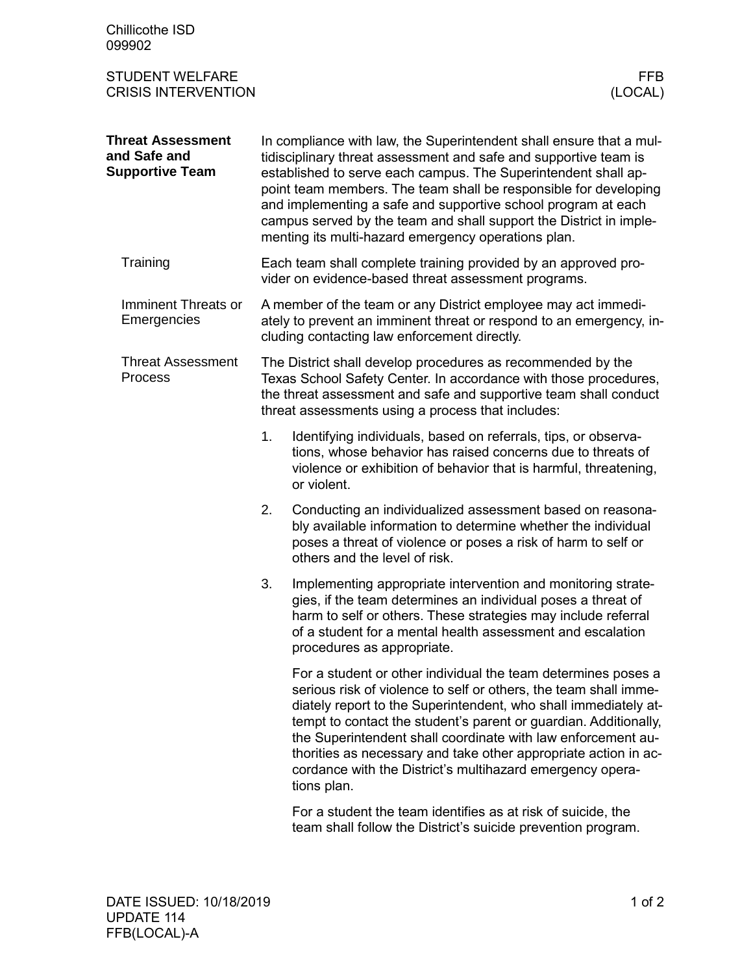| Chillicothe ISD<br>099902                                          |    |                                                                                                                                                                                                                                                                                                                                                                                                                                                                                         |
|--------------------------------------------------------------------|----|-----------------------------------------------------------------------------------------------------------------------------------------------------------------------------------------------------------------------------------------------------------------------------------------------------------------------------------------------------------------------------------------------------------------------------------------------------------------------------------------|
| <b>STUDENT WELFARE</b><br><b>CRISIS INTERVENTION</b>               |    | <b>FFB</b><br>(LOCAL)                                                                                                                                                                                                                                                                                                                                                                                                                                                                   |
| <b>Threat Assessment</b><br>and Safe and<br><b>Supportive Team</b> |    | In compliance with law, the Superintendent shall ensure that a mul-<br>tidisciplinary threat assessment and safe and supportive team is<br>established to serve each campus. The Superintendent shall ap-<br>point team members. The team shall be responsible for developing<br>and implementing a safe and supportive school program at each<br>campus served by the team and shall support the District in imple-<br>menting its multi-hazard emergency operations plan.             |
| Training                                                           |    | Each team shall complete training provided by an approved pro-<br>vider on evidence-based threat assessment programs.                                                                                                                                                                                                                                                                                                                                                                   |
| Imminent Threats or<br>Emergencies                                 |    | A member of the team or any District employee may act immedi-<br>ately to prevent an imminent threat or respond to an emergency, in-<br>cluding contacting law enforcement directly.                                                                                                                                                                                                                                                                                                    |
| <b>Threat Assessment</b><br><b>Process</b>                         |    | The District shall develop procedures as recommended by the<br>Texas School Safety Center. In accordance with those procedures,<br>the threat assessment and safe and supportive team shall conduct<br>threat assessments using a process that includes:                                                                                                                                                                                                                                |
|                                                                    | 1. | Identifying individuals, based on referrals, tips, or observa-<br>tions, whose behavior has raised concerns due to threats of<br>violence or exhibition of behavior that is harmful, threatening,<br>or violent.                                                                                                                                                                                                                                                                        |
|                                                                    | 2. | Conducting an individualized assessment based on reasona-<br>bly available information to determine whether the individual<br>poses a threat of violence or poses a risk of harm to self or<br>others and the level of risk.                                                                                                                                                                                                                                                            |
|                                                                    | 3. | Implementing appropriate intervention and monitoring strate-<br>gies, if the team determines an individual poses a threat of<br>harm to self or others. These strategies may include referral<br>of a student for a mental health assessment and escalation<br>procedures as appropriate.                                                                                                                                                                                               |
|                                                                    |    | For a student or other individual the team determines poses a<br>serious risk of violence to self or others, the team shall imme-<br>diately report to the Superintendent, who shall immediately at-<br>tempt to contact the student's parent or guardian. Additionally,<br>the Superintendent shall coordinate with law enforcement au-<br>thorities as necessary and take other appropriate action in ac-<br>cordance with the District's multihazard emergency opera-<br>tions plan. |
|                                                                    |    | For a student the team identifies as at risk of suicide, the<br>team shall follow the District's suicide prevention program.                                                                                                                                                                                                                                                                                                                                                            |